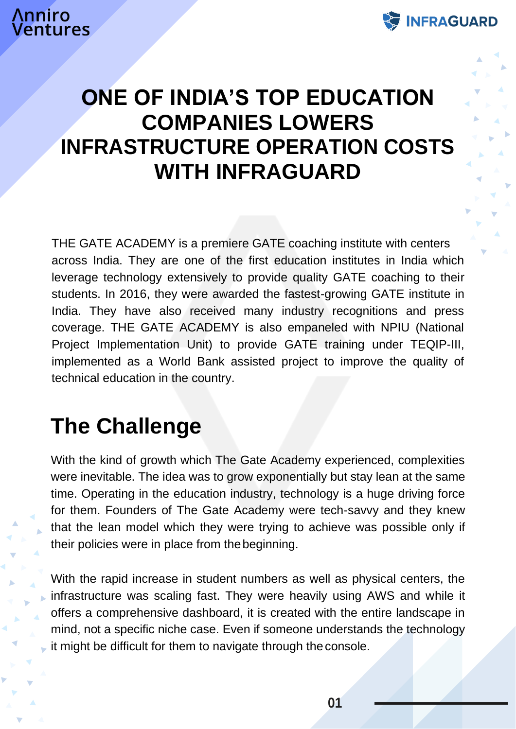

### **ONE OF INDIA'S TOP EDUCATION COMPANIES LOWERS INFRASTRUCTURE OPERATION COSTS WITH INFRAGUARD**

THE GATE ACADEMY is a premiere GATE coaching institute with centers across India. They are one of the first education institutes in India which leverage technology extensively to provide quality GATE coaching to their students. In 2016, they were awarded the fastest-growing GATE institute in India. They have also received many industry recognitions and press coverage. THE GATE ACADEMY is also empaneled with NPIU (National Project Implementation Unit) to provide GATE training under TEQIP-III, implemented as a World Bank assisted project to improve the quality of technical education in the country.

## **The Challenge**

With the kind of growth which The Gate Academy experienced, complexities were inevitable. The idea was to grow exponentially but stay lean at the same time. Operating in the education industry, technology is a huge driving force for them. Founders of The Gate Academy were tech-savvy and they knew that the lean model which they were trying to achieve was possible only if their policies were in place from thebeginning.

With the rapid increase in student numbers as well as physical centers, the infrastructure was scaling fast. They were heavily using AWS and while it offers a comprehensive dashboard, it is created with the entire landscape in mind, not a specific niche case. Even if someone understands the technology it might be difficult for them to navigate through the console.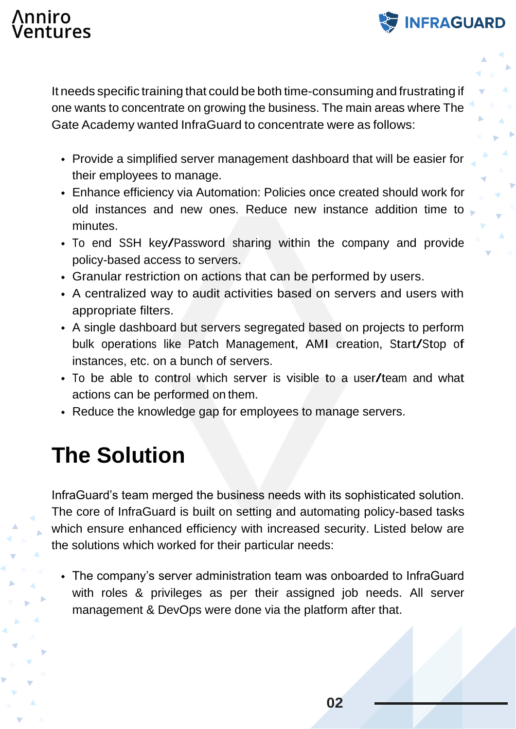#### **\nniro** tures



**INFRAGUARD** 

- Provide a simplified server management dashboard that will be easier for their employees to manage.
- Enhance efficiency via Automation: Policies once created should work for old instances and new ones. Reduce new instance addition time to minutes.
- To end SSH key/Password sharing within the company and provide policy-based access to servers.
- Granular restriction on actions that can be performed by users.
- A centralized way to audit activities based on servers and users with appropriate filters.
- A single dashboard but servers segregated based on projects to perform bulk operations like Patch Management, AMI creation, Start/Stop of instances, etc. on a bunch of servers.
- To be able to control which server is visible to <sup>a</sup> user/team and what actions can be performed on them.
- Reduce the knowledge gap for employees to manage servers.

# **The Solution**

InfraGuard's team merged the business needs with its sophisticated solution. The core of InfraGuard is built on setting and automating policy-based tasks which ensure enhanced efficiency with increased security. Listed below are the solutions which worked for their particular needs:

The company's server administration team was onboarded to InfraGuard with roles & privileges as per their assigned job needs. All server management & DevOps were done via the platform after that.